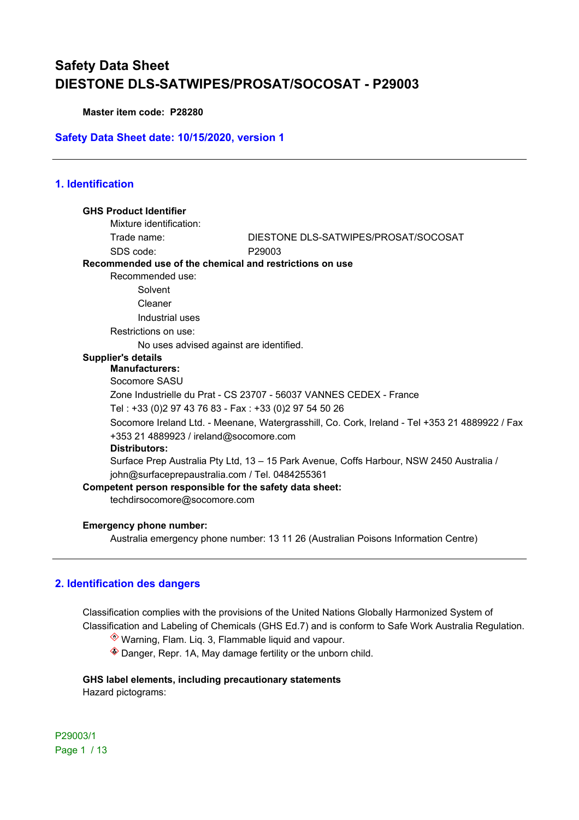**Master item code: P28280**

### **Safety Data Sheet date: 10/15/2020, version 1**

## **1. Identification**

| <b>GHS Product Identifier</b>                           |                                                                                                |
|---------------------------------------------------------|------------------------------------------------------------------------------------------------|
| Mixture identification:                                 |                                                                                                |
| Trade name:                                             | DIESTONE DLS-SATWIPES/PROSAT/SOCOSAT                                                           |
| SDS code:                                               | P <sub>29003</sub>                                                                             |
| Recommended use of the chemical and restrictions on use |                                                                                                |
| Recommended use:                                        |                                                                                                |
| Solvent                                                 |                                                                                                |
| Cleaner                                                 |                                                                                                |
| Industrial uses                                         |                                                                                                |
| Restrictions on use:                                    |                                                                                                |
| No uses advised against are identified.                 |                                                                                                |
| <b>Supplier's details</b>                               |                                                                                                |
| <b>Manufacturers:</b>                                   |                                                                                                |
| Socomore SASU                                           |                                                                                                |
|                                                         | Zone Industrielle du Prat - CS 23707 - 56037 VANNES CEDEX - France                             |
| Tel: +33 (0)2 97 43 76 83 - Fax: +33 (0)2 97 54 50 26   |                                                                                                |
|                                                         | Socomore Ireland Ltd. - Meenane, Watergrasshill, Co. Cork, Ireland - Tel +353 21 4889922 / Fax |
| +353 21 4889923 / ireland@socomore.com                  |                                                                                                |
| Distributors:                                           |                                                                                                |
|                                                         | Surface Prep Australia Pty Ltd, 13 - 15 Park Avenue, Coffs Harbour, NSW 2450 Australia /       |
| john@surfaceprepaustralia.com / Tel. 0484255361         |                                                                                                |
| Competent person responsible for the safety data sheet: |                                                                                                |
| techdirsocomore@socomore.com                            |                                                                                                |
|                                                         |                                                                                                |

#### **Emergency phone number:**

Australia emergency phone number: 13 11 26 (Australian Poisons Information Centre)

### **2. Identification des dangers**

Classification complies with the provisions of the United Nations Globally Harmonized System of Classification and Labeling of Chemicals (GHS Ed.7) and is conform to Safe Work Australia Regulation.

Warning, Flam. Liq. 3, Flammable liquid and vapour.

Danger, Repr. 1A, May damage fertility or the unborn child.

## **GHS label elements, including precautionary statements**

Hazard pictograms:

P29003/1 Page 1 / 13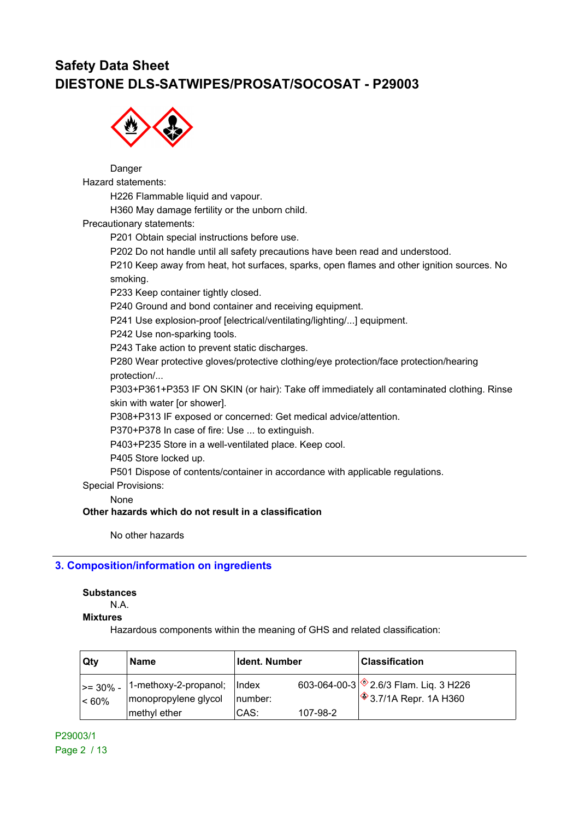

Danger Hazard statements: H226 Flammable liquid and vapour. H360 May damage fertility or the unborn child. Precautionary statements: P201 Obtain special instructions before use. P202 Do not handle until all safety precautions have been read and understood. P210 Keep away from heat, hot surfaces, sparks, open flames and other ignition sources. No smoking. P233 Keep container tightly closed.

P240 Ground and bond container and receiving equipment.

P241 Use explosion-proof [electrical/ventilating/lighting/...] equipment.

P242 Use non-sparking tools.

P243 Take action to prevent static discharges.

P280 Wear protective gloves/protective clothing/eye protection/face protection/hearing protection/...

P303+P361+P353 IF ON SKIN (or hair): Take off immediately all contaminated clothing. Rinse skin with water [or shower].

P308+P313 IF exposed or concerned: Get medical advice/attention.

P370+P378 In case of fire: Use ... to extinguish.

P403+P235 Store in a well-ventilated place. Keep cool.

P405 Store locked up.

P501 Dispose of contents/container in accordance with applicable regulations.

Special Provisions:

None

### **Other hazards which do not result in a classification**

No other hazards

### **3. Composition/information on ingredients**

#### **Substances**

N.A.

### **Mixtures**

Hazardous components within the meaning of GHS and related classification:

| Qty                               | <b>Name</b>                                   | Ident. Number                   |          | <b>Classification</b>                                                              |
|-----------------------------------|-----------------------------------------------|---------------------------------|----------|------------------------------------------------------------------------------------|
| $\vert$ >= 30% - $\vert$<br>< 60% | 1-methoxy-2-propanol;<br>monopropylene glycol | $\vert \vert$ index<br>∣number: |          | 603-064-00-3 $\circ$ 2.6/3 Flam. Liq. 3 H226<br>$\frac{1}{2}$ 3.7/1A Repr. 1A H360 |
|                                   | methyl ether                                  | CAS:                            | 107-98-2 |                                                                                    |

P29003/1 Page 2 / 13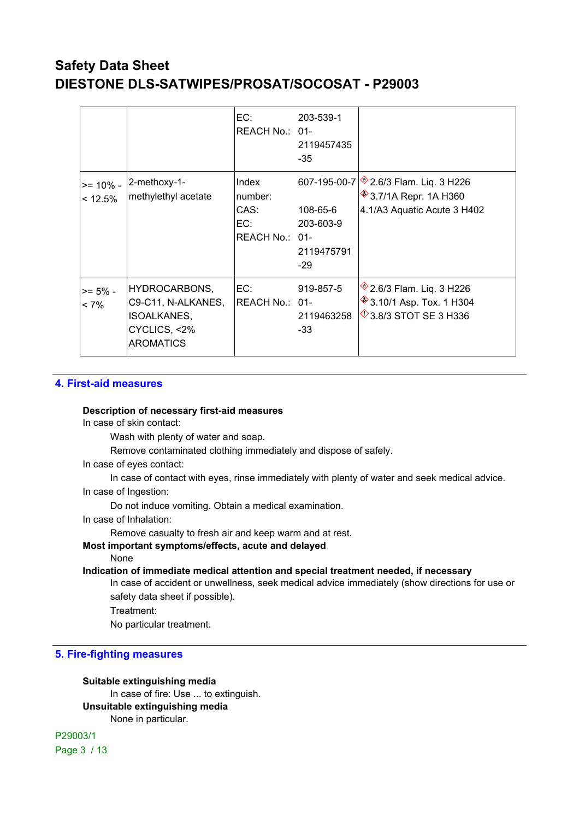|                           |                                                                                        | EC:<br>REACH No.: 01-                             | 203-539-1<br>2119457435<br>-35               |                                                                                                                |
|---------------------------|----------------------------------------------------------------------------------------|---------------------------------------------------|----------------------------------------------|----------------------------------------------------------------------------------------------------------------|
| $>= 10\%$ -<br>$< 12.5\%$ | 2-methoxy-1-<br>methylethyl acetate                                                    | Index<br>number:<br>CAS:<br>EC:<br>REACH No.: 01- | 108-65-6<br>203-603-9<br>2119475791<br>$-29$ | 607-195-00-7 3.6/3 Flam. Liq. 3 H226<br><b><sup>◈</sup>3.7/1A Repr. 1A H360</b><br>4.1/A3 Aquatic Acute 3 H402 |
| $>= 5\%$ -<br>$< 7\%$     | HYDROCARBONS,<br>C9-C11, N-ALKANES,<br>ISOALKANES,<br>CYCLICS, <2%<br><b>AROMATICS</b> | EC:<br>REACH No.: 01-                             | 919-857-5<br>2119463258<br>-33               | $*$ 2.6/3 Flam. Liq. 3 H226<br><b>♦ 3.10/1 Asp. Tox. 1 H304</b><br>$\sqrt[4]{3.8/3}$ STOT SE 3 H336            |

### **4. First-aid measures**

### **Description of necessary first-aid measures**

In case of skin contact:

Wash with plenty of water and soap.

Remove contaminated clothing immediately and dispose of safely.

In case of eyes contact:

In case of contact with eyes, rinse immediately with plenty of water and seek medical advice. In case of Ingestion:

Do not induce vomiting. Obtain a medical examination.

In case of Inhalation:

Remove casualty to fresh air and keep warm and at rest.

### **Most important symptoms/effects, acute and delayed**

None

**Indication of immediate medical attention and special treatment needed, if necessary**

In case of accident or unwellness, seek medical advice immediately (show directions for use or safety data sheet if possible).

Treatment:

No particular treatment.

### **5. Fire-fighting measures**

**Suitable extinguishing media** In case of fire: Use ... to extinguish. **Unsuitable extinguishing media** None in particular.

P29003/1 Page 3 / 13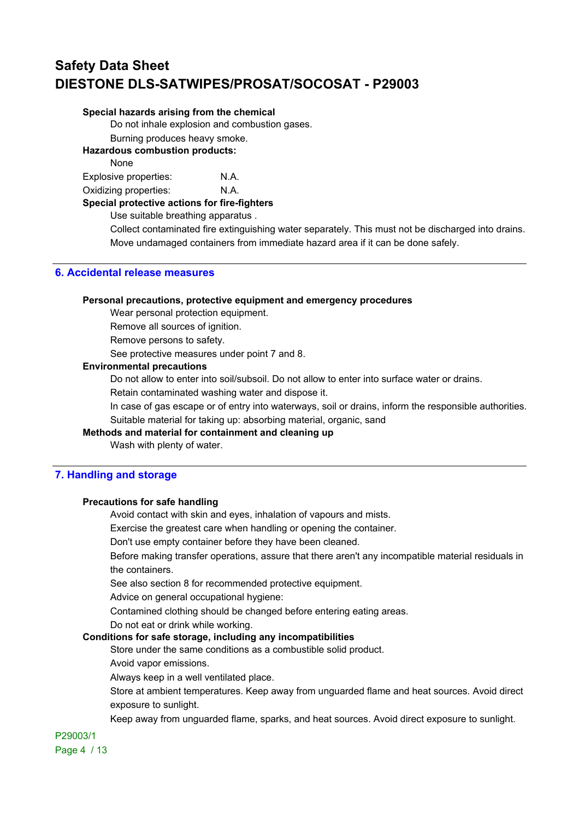#### **Special hazards arising from the chemical**

Do not inhale explosion and combustion gases.

Burning produces heavy smoke.

**Hazardous combustion products:**

None

Explosive properties: N.A.

Oxidizing properties: N.A.

**Special protective actions for fire-fighters**

Use suitable breathing apparatus .

Collect contaminated fire extinguishing water separately. This must not be discharged into drains. Move undamaged containers from immediate hazard area if it can be done safely.

## **6. Accidental release measures**

#### **Personal precautions, protective equipment and emergency procedures**

Wear personal protection equipment.

Remove all sources of ignition.

Remove persons to safety.

See protective measures under point 7 and 8.

### **Environmental precautions**

Do not allow to enter into soil/subsoil. Do not allow to enter into surface water or drains.

Retain contaminated washing water and dispose it.

In case of gas escape or of entry into waterways, soil or drains, inform the responsible authorities. Suitable material for taking up: absorbing material, organic, sand

### **Methods and material for containment and cleaning up**

Wash with plenty of water.

### **7. Handling and storage**

### **Precautions for safe handling**

Avoid contact with skin and eyes, inhalation of vapours and mists.

Exercise the greatest care when handling or opening the container.

Don't use empty container before they have been cleaned.

Before making transfer operations, assure that there aren't any incompatible material residuals in the containers.

See also section 8 for recommended protective equipment.

Advice on general occupational hygiene:

Contamined clothing should be changed before entering eating areas.

Do not eat or drink while working.

### **Conditions for safe storage, including any incompatibilities**

Store under the same conditions as a combustible solid product.

Avoid vapor emissions.

Always keep in a well ventilated place.

Store at ambient temperatures. Keep away from unguarded flame and heat sources. Avoid direct exposure to sunlight.

Keep away from unguarded flame, sparks, and heat sources. Avoid direct exposure to sunlight.

P29003/1 Page 4 / 13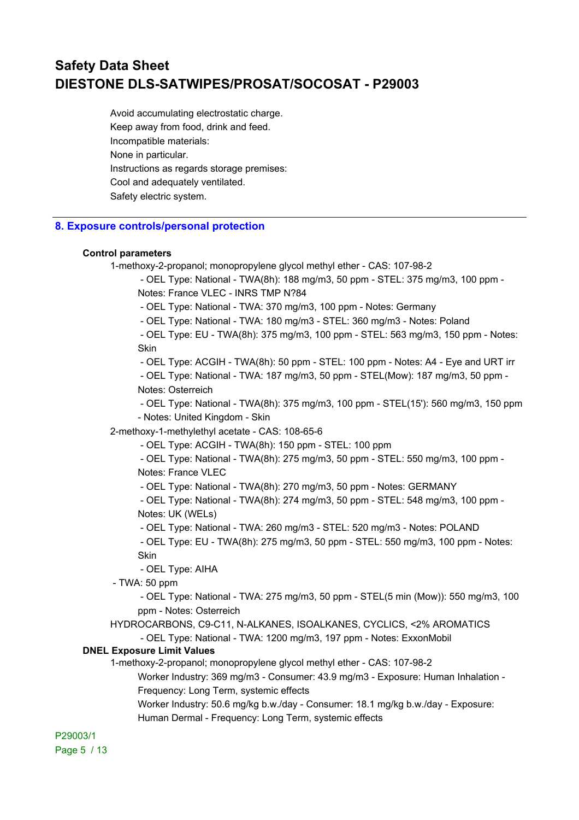Avoid accumulating electrostatic charge. Keep away from food, drink and feed. Incompatible materials: None in particular. Instructions as regards storage premises: Cool and adequately ventilated. Safety electric system.

### **8. Exposure controls/personal protection**

#### **Control parameters**

1-methoxy-2-propanol; monopropylene glycol methyl ether - CAS: 107-98-2

- OEL Type: National - TWA(8h): 188 mg/m3, 50 ppm - STEL: 375 mg/m3, 100 ppm -

Notes: France VLEC - INRS TMP N?84

- OEL Type: National - TWA: 370 mg/m3, 100 ppm - Notes: Germany

- OEL Type: National - TWA: 180 mg/m3 - STEL: 360 mg/m3 - Notes: Poland

 - OEL Type: EU - TWA(8h): 375 mg/m3, 100 ppm - STEL: 563 mg/m3, 150 ppm - Notes: **Skin** 

- OEL Type: ACGIH - TWA(8h): 50 ppm - STEL: 100 ppm - Notes: A4 - Eye and URT irr

 - OEL Type: National - TWA: 187 mg/m3, 50 ppm - STEL(Mow): 187 mg/m3, 50 ppm - Notes: Osterreich

 - OEL Type: National - TWA(8h): 375 mg/m3, 100 ppm - STEL(15'): 560 mg/m3, 150 ppm - Notes: United Kingdom - Skin

2-methoxy-1-methylethyl acetate - CAS: 108-65-6

- OEL Type: ACGIH - TWA(8h): 150 ppm - STEL: 100 ppm

 - OEL Type: National - TWA(8h): 275 mg/m3, 50 ppm - STEL: 550 mg/m3, 100 ppm - Notes: France VLEC

- OEL Type: National - TWA(8h): 270 mg/m3, 50 ppm - Notes: GERMANY

 - OEL Type: National - TWA(8h): 274 mg/m3, 50 ppm - STEL: 548 mg/m3, 100 ppm - Notes: UK (WELs)

- OEL Type: National - TWA: 260 mg/m3 - STEL: 520 mg/m3 - Notes: POLAND

 - OEL Type: EU - TWA(8h): 275 mg/m3, 50 ppm - STEL: 550 mg/m3, 100 ppm - Notes: Skin

- OEL Type: AIHA

- TWA: 50 ppm

 - OEL Type: National - TWA: 275 mg/m3, 50 ppm - STEL(5 min (Mow)): 550 mg/m3, 100 ppm - Notes: Osterreich

HYDROCARBONS, C9-C11, N-ALKANES, ISOALKANES, CYCLICS, <2% AROMATICS

- OEL Type: National - TWA: 1200 mg/m3, 197 ppm - Notes: ExxonMobil

### **DNEL Exposure Limit Values**

1-methoxy-2-propanol; monopropylene glycol methyl ether - CAS: 107-98-2

Worker Industry: 369 mg/m3 - Consumer: 43.9 mg/m3 - Exposure: Human Inhalation - Frequency: Long Term, systemic effects

Worker Industry: 50.6 mg/kg b.w./day - Consumer: 18.1 mg/kg b.w./day - Exposure: Human Dermal - Frequency: Long Term, systemic effects

P29003/1 Page 5 / 13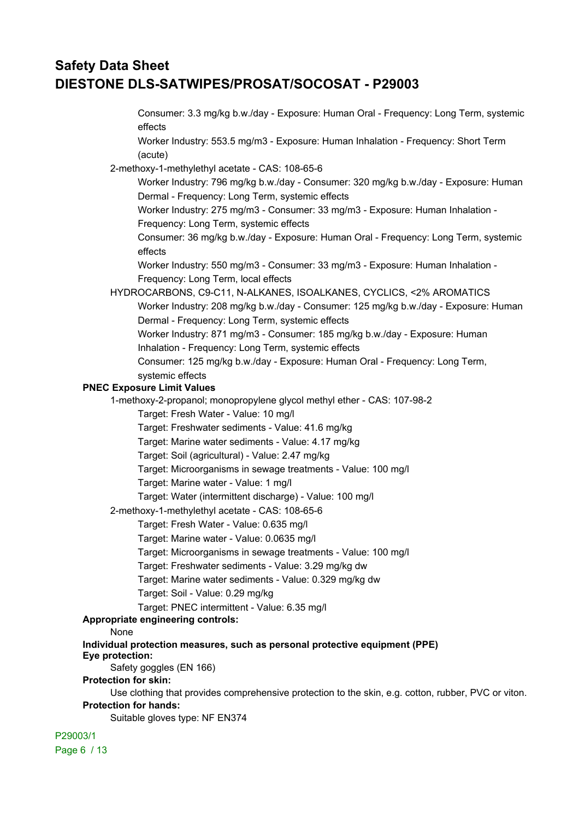| Consumer: 3.3 mg/kg b.w./day - Exposure: Human Oral - Frequency: Long Term, systemic                |
|-----------------------------------------------------------------------------------------------------|
| effects                                                                                             |
| Worker Industry: 553.5 mg/m3 - Exposure: Human Inhalation - Frequency: Short Term                   |
| (acute)                                                                                             |
| 2-methoxy-1-methylethyl acetate - CAS: 108-65-6                                                     |
| Worker Industry: 796 mg/kg b.w./day - Consumer: 320 mg/kg b.w./day - Exposure: Human                |
| Dermal - Frequency: Long Term, systemic effects                                                     |
| Worker Industry: 275 mg/m3 - Consumer: 33 mg/m3 - Exposure: Human Inhalation -                      |
| Frequency: Long Term, systemic effects                                                              |
| Consumer: 36 mg/kg b.w./day - Exposure: Human Oral - Frequency: Long Term, systemic                 |
| effects                                                                                             |
| Worker Industry: 550 mg/m3 - Consumer: 33 mg/m3 - Exposure: Human Inhalation -                      |
| Frequency: Long Term, local effects                                                                 |
| HYDROCARBONS, C9-C11, N-ALKANES, ISOALKANES, CYCLICS, <2% AROMATICS                                 |
| Worker Industry: 208 mg/kg b.w./day - Consumer: 125 mg/kg b.w./day - Exposure: Human                |
| Dermal - Frequency: Long Term, systemic effects                                                     |
| Worker Industry: 871 mg/m3 - Consumer: 185 mg/kg b.w./day - Exposure: Human                         |
| Inhalation - Frequency: Long Term, systemic effects                                                 |
| Consumer: 125 mg/kg b.w./day - Exposure: Human Oral - Frequency: Long Term,                         |
| systemic effects                                                                                    |
| <b>PNEC Exposure Limit Values</b>                                                                   |
| 1-methoxy-2-propanol; monopropylene glycol methyl ether - CAS: 107-98-2                             |
| Target: Fresh Water - Value: 10 mg/l                                                                |
| Target: Freshwater sediments - Value: 41.6 mg/kg                                                    |
| Target: Marine water sediments - Value: 4.17 mg/kg                                                  |
| Target: Soil (agricultural) - Value: 2.47 mg/kg                                                     |
| Target: Microorganisms in sewage treatments - Value: 100 mg/l                                       |
| Target: Marine water - Value: 1 mg/l                                                                |
| Target: Water (intermittent discharge) - Value: 100 mg/l                                            |
| 2-methoxy-1-methylethyl acetate - CAS: 108-65-6                                                     |
| Target: Fresh Water - Value: 0.635 mg/l                                                             |
| Target: Marine water - Value: 0.0635 mg/l                                                           |
| Target: Microorganisms in sewage treatments - Value: 100 mg/l                                       |
| Target: Freshwater sediments - Value: 3.29 mg/kg dw                                                 |
| Target: Marine water sediments - Value: 0.329 mg/kg dw                                              |
| Target: Soil - Value: 0.29 mg/kg                                                                    |
| Target: PNEC intermittent - Value: 6.35 mg/l                                                        |
| <b>Appropriate engineering controls:</b>                                                            |
| None                                                                                                |
| Individual protection measures, such as personal protective equipment (PPE)<br>Eye protection:      |
| Safety goggles (EN 166)                                                                             |
| <b>Protection for skin:</b>                                                                         |
| Use clothing that provides comprehensive protection to the skin, e.g. cotton, rubber, PVC or viton. |
| <b>Protection for hands:</b>                                                                        |
| Suitable gloves type: NF EN374                                                                      |
| P29003/1                                                                                            |

Page 6 / 13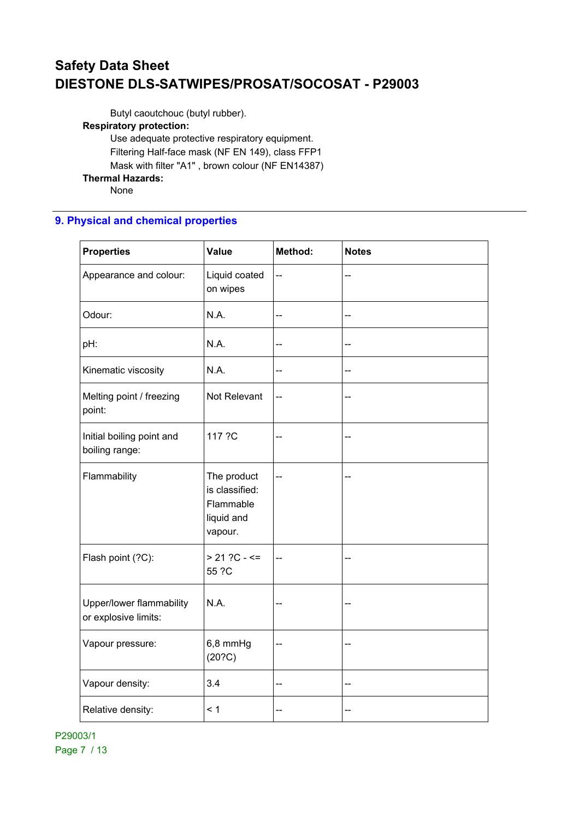Butyl caoutchouc (butyl rubber).

## **Respiratory protection:**

Use adequate protective respiratory equipment. Filtering Half-face mask (NF EN 149), class FFP1 Mask with filter "A1" , brown colour (NF EN14387) **Thermal Hazards:** None

## **9. Physical and chemical properties**

| <b>Properties</b>                                | <b>Value</b>                                                        | Method: | <b>Notes</b> |
|--------------------------------------------------|---------------------------------------------------------------------|---------|--------------|
| Appearance and colour:                           | Liquid coated<br>on wipes                                           | --      | --           |
| Odour:                                           | N.A.                                                                | --      | --           |
| pH:                                              | N.A.                                                                | --      | --           |
| Kinematic viscosity                              | N.A.                                                                | --      | --           |
| Melting point / freezing<br>point:               | Not Relevant                                                        | --      |              |
| Initial boiling point and<br>boiling range:      | 117 ?C                                                              | --      | --           |
| Flammability                                     | The product<br>is classified:<br>Flammable<br>liquid and<br>vapour. | --      |              |
| Flash point (?C):                                | $> 21$ ?C - <=<br>55 ?C                                             | --      | --           |
| Upper/lower flammability<br>or explosive limits: | N.A.                                                                | --      | --           |
| Vapour pressure:                                 | 6,8 mmHg<br>(20?C)                                                  | --      | --           |
| Vapour density:                                  | 3.4                                                                 | --      | --           |
| Relative density:                                | < 1                                                                 | --      | --           |

P29003/1 Page 7 / 13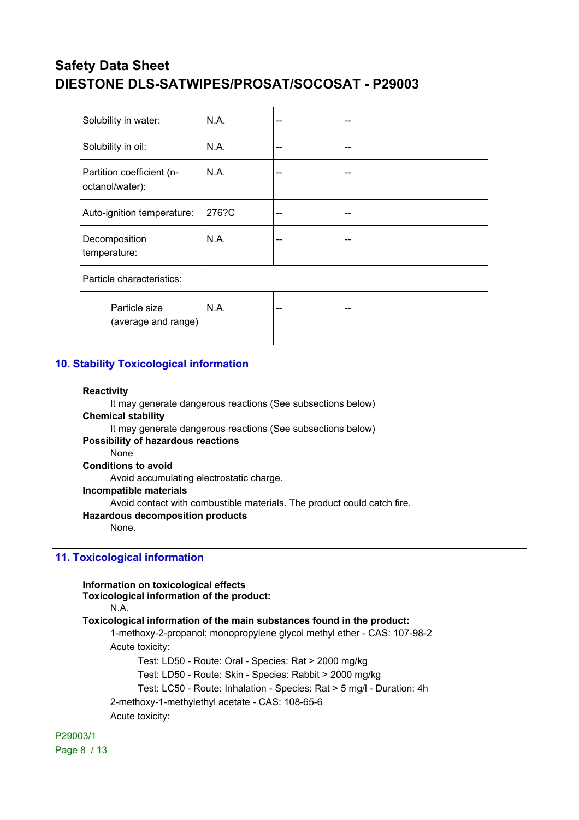| Solubility in water:                         | N.A.  | -- | -- |
|----------------------------------------------|-------|----|----|
| Solubility in oil:                           | N.A.  | -- | -- |
| Partition coefficient (n-<br>octanol/water): | N.A.  | -- | -- |
| Auto-ignition temperature:                   | 276?C | -- | -- |
| Decomposition<br>temperature:                | N.A.  | -- | -- |
| Particle characteristics:                    |       |    |    |
| Particle size<br>(average and range)         | N.A.  | -- | -- |

### **10. Stability Toxicological information**

#### **Reactivity**

It may generate dangerous reactions (See subsections below) **Chemical stability** It may generate dangerous reactions (See subsections below) **Possibility of hazardous reactions** None **Conditions to avoid** Avoid accumulating electrostatic charge. **Incompatible materials** Avoid contact with combustible materials. The product could catch fire. **Hazardous decomposition products** None.

### **11. Toxicological information**

| Information on toxicological effects<br>Toxicological information of the product: |
|-----------------------------------------------------------------------------------|
| N.A.                                                                              |
| Toxicological information of the main substances found in the product:            |
| 1-methoxy-2-propanol; monopropylene glycol methyl ether - CAS: 107-98-2           |
| Acute toxicity:                                                                   |
| Test: LD50 - Route: Oral - Species: Rat > 2000 mg/kg                              |
| Test: LD50 - Route: Skin - Species: Rabbit > 2000 mg/kg                           |
| Test: LC50 - Route: Inhalation - Species: Rat > 5 mg/l - Duration: 4h             |
| 2-methoxy-1-methylethyl acetate - CAS: 108-65-6                                   |
| Acute toxicity:                                                                   |

P29003/1 Page 8 / 13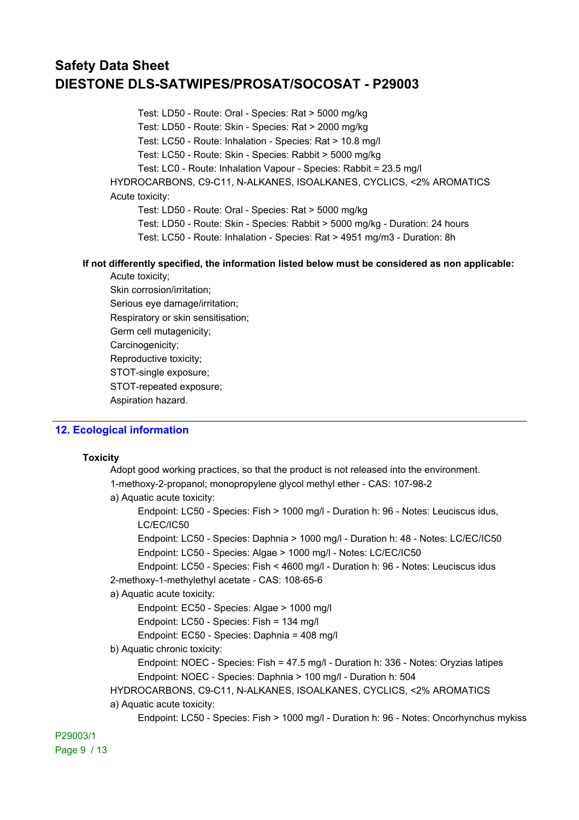Test: LD50 - Route: Oral - Species: Rat > 5000 mg/kg

Test: LD50 - Route: Skin - Species: Rat > 2000 mg/kg

Test: LC50 - Route: Inhalation - Species: Rat > 10.8 mg/l

Test: LC50 - Route: Skin - Species: Rabbit > 5000 mg/kg

Test: LC0 - Route: Inhalation Vapour - Species: Rabbit = 23.5 mg/l

HYDROCARBONS, C9-C11, N-ALKANES, ISOALKANES, CYCLICS, <2% AROMATICS Acute toxicity:

Test: LD50 - Route: Oral - Species: Rat > 5000 mg/kg

Test: LD50 - Route: Skin - Species: Rabbit > 5000 mg/kg - Duration: 24 hours

Test: LC50 - Route: Inhalation - Species: Rat > 4951 mg/m3 - Duration: 8h

#### **If not differently specified, the information listed below must be considered as non applicable:** Acute toxicity;

Skin corrosion/irritation; Serious eye damage/irritation; Respiratory or skin sensitisation; Germ cell mutagenicity; Carcinogenicity; Reproductive toxicity; STOT-single exposure; STOT-repeated exposure; Aspiration hazard.

### **12. Ecological information**

#### **Toxicity**

Adopt good working practices, so that the product is not released into the environment. 1-methoxy-2-propanol; monopropylene glycol methyl ether - CAS: 107-98-2

a) Aquatic acute toxicity:

Endpoint: LC50 - Species: Fish > 1000 mg/l - Duration h: 96 - Notes: Leuciscus idus, LC/EC/IC50

Endpoint: LC50 - Species: Daphnia > 1000 mg/l - Duration h: 48 - Notes: LC/EC/IC50 Endpoint: LC50 - Species: Algae > 1000 mg/l - Notes: LC/EC/IC50

Endpoint: LC50 - Species: Fish < 4600 mg/l - Duration h: 96 - Notes: Leuciscus idus 2-methoxy-1-methylethyl acetate - CAS: 108-65-6

### a) Aquatic acute toxicity:

Endpoint: EC50 - Species: Algae > 1000 mg/l

Endpoint: LC50 - Species: Fish = 134 mg/l

Endpoint: EC50 - Species: Daphnia = 408 mg/l

### b) Aquatic chronic toxicity:

Endpoint: NOEC - Species: Fish = 47.5 mg/l - Duration h: 336 - Notes: Oryzias latipes Endpoint: NOEC - Species: Daphnia > 100 mg/l - Duration h: 504

HYDROCARBONS, C9-C11, N-ALKANES, ISOALKANES, CYCLICS, <2% AROMATICS

#### a) Aquatic acute toxicity:

Endpoint: LC50 - Species: Fish > 1000 mg/l - Duration h: 96 - Notes: Oncorhynchus mykiss

P29003/1 Page 9 / 13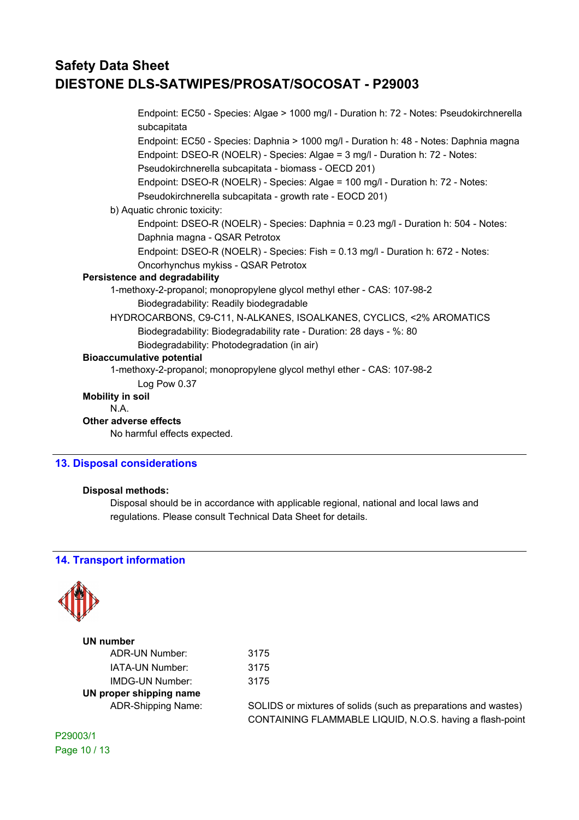Endpoint: EC50 - Species: Algae > 1000 mg/l - Duration h: 72 - Notes: Pseudokirchnerella subcapitata Endpoint: EC50 - Species: Daphnia > 1000 mg/l - Duration h: 48 - Notes: Daphnia magna Endpoint: DSEO-R (NOELR) - Species: Algae = 3 mg/l - Duration h: 72 - Notes: Pseudokirchnerella subcapitata - biomass - OECD 201) Endpoint: DSEO-R (NOELR) - Species: Algae = 100 mg/l - Duration h: 72 - Notes: Pseudokirchnerella subcapitata - growth rate - EOCD 201) b) Aquatic chronic toxicity: Endpoint: DSEO-R (NOELR) - Species: Daphnia = 0.23 mg/l - Duration h: 504 - Notes: Daphnia magna - QSAR Petrotox Endpoint: DSEO-R (NOELR) - Species: Fish = 0.13 mg/l - Duration h: 672 - Notes: Oncorhynchus mykiss - QSAR Petrotox **Persistence and degradability** 1-methoxy-2-propanol; monopropylene glycol methyl ether - CAS: 107-98-2 Biodegradability: Readily biodegradable HYDROCARBONS, C9-C11, N-ALKANES, ISOALKANES, CYCLICS, <2% AROMATICS Biodegradability: Biodegradability rate - Duration: 28 days - %: 80 Biodegradability: Photodegradation (in air) **Bioaccumulative potential** 1-methoxy-2-propanol; monopropylene glycol methyl ether - CAS: 107-98-2 Log Pow 0.37 **Mobility in soil** N.A. **Other adverse effects** No harmful effects expected.

### **13. Disposal considerations**

### **Disposal methods:**

Disposal should be in accordance with applicable regional, national and local laws and regulations. Please consult Technical Data Sheet for details.

> 3175 3175 3175

### **14. Transport information**



| <b>UN number</b>          |  |  |
|---------------------------|--|--|
| ADR-UN Number:            |  |  |
| IATA-UN Number:           |  |  |
| IMDG-UN Number:           |  |  |
| UN proper shipping name   |  |  |
| <b>ADR-Shipping Name:</b> |  |  |

SOLIDS or mixtures of solids (such as preparations and wastes) CONTAINING FLAMMABLE LIQUID, N.O.S. having a flash-point

P29003/1 Page 10 / 13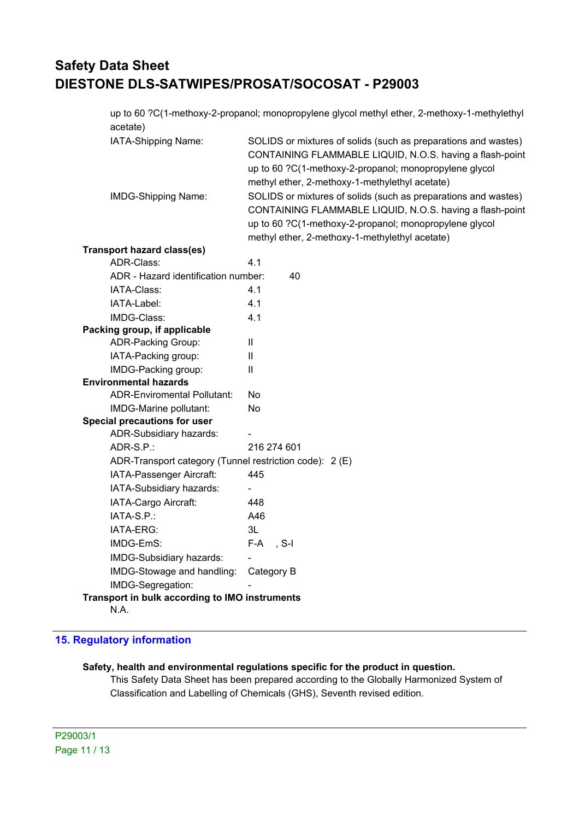up to 60 ?C(1-methoxy-2-propanol; monopropylene glycol methyl ether, 2-methoxy-1-methylethyl acetate)

| IATA-Shipping Name:                                     | SOLIDS or mixtures of solids (such as preparations and wastes)<br>CONTAINING FLAMMABLE LIQUID, N.O.S. having a flash-point<br>up to 60 ?C(1-methoxy-2-propanol; monopropylene glycol<br>methyl ether, 2-methoxy-1-methylethyl acetate) |
|---------------------------------------------------------|----------------------------------------------------------------------------------------------------------------------------------------------------------------------------------------------------------------------------------------|
| <b>IMDG-Shipping Name:</b>                              | SOLIDS or mixtures of solids (such as preparations and wastes)<br>CONTAINING FLAMMABLE LIQUID, N.O.S. having a flash-point<br>up to 60 ?C(1-methoxy-2-propanol; monopropylene glycol                                                   |
|                                                         | methyl ether, 2-methoxy-1-methylethyl acetate)                                                                                                                                                                                         |
| <b>Transport hazard class(es)</b>                       |                                                                                                                                                                                                                                        |
| ADR-Class:                                              | 4.1                                                                                                                                                                                                                                    |
| ADR - Hazard identification number:                     | 40                                                                                                                                                                                                                                     |
| IATA-Class:                                             | 4.1                                                                                                                                                                                                                                    |
| IATA-Label:                                             | 4.1                                                                                                                                                                                                                                    |
| IMDG-Class:                                             | 4.1                                                                                                                                                                                                                                    |
| Packing group, if applicable                            |                                                                                                                                                                                                                                        |
| <b>ADR-Packing Group:</b>                               | Ш                                                                                                                                                                                                                                      |
| IATA-Packing group:                                     | $\mathbf{I}$                                                                                                                                                                                                                           |
| IMDG-Packing group:                                     | $\mathbf{I}$                                                                                                                                                                                                                           |
| <b>Environmental hazards</b>                            |                                                                                                                                                                                                                                        |
| <b>ADR-Enviromental Pollutant:</b>                      | No                                                                                                                                                                                                                                     |
| IMDG-Marine pollutant:                                  | No                                                                                                                                                                                                                                     |
| <b>Special precautions for user</b>                     |                                                                                                                                                                                                                                        |
| ADR-Subsidiary hazards:                                 |                                                                                                                                                                                                                                        |
| ADR-S.P.:                                               | 216 274 601                                                                                                                                                                                                                            |
| ADR-Transport category (Tunnel restriction code): 2 (E) |                                                                                                                                                                                                                                        |
| IATA-Passenger Aircraft:                                | 445                                                                                                                                                                                                                                    |
| IATA-Subsidiary hazards:                                |                                                                                                                                                                                                                                        |
| IATA-Cargo Aircraft:                                    | 448                                                                                                                                                                                                                                    |
| IATA-S.P.:                                              | A46                                                                                                                                                                                                                                    |
| IATA-ERG:                                               | 3L                                                                                                                                                                                                                                     |
| IMDG-EmS:                                               | $F-A$ , S-I                                                                                                                                                                                                                            |
| IMDG-Subsidiary hazards:                                |                                                                                                                                                                                                                                        |
| IMDG-Stowage and handling:                              | Category B                                                                                                                                                                                                                             |
| IMDG-Segregation:                                       |                                                                                                                                                                                                                                        |
| Transport in bulk according to IMO instruments          |                                                                                                                                                                                                                                        |
|                                                         |                                                                                                                                                                                                                                        |

N.A.

## **15. Regulatory information**

#### **Safety, health and environmental regulations specific for the product in question.**

This Safety Data Sheet has been prepared according to the Globally Harmonized System of Classification and Labelling of Chemicals (GHS), Seventh revised edition.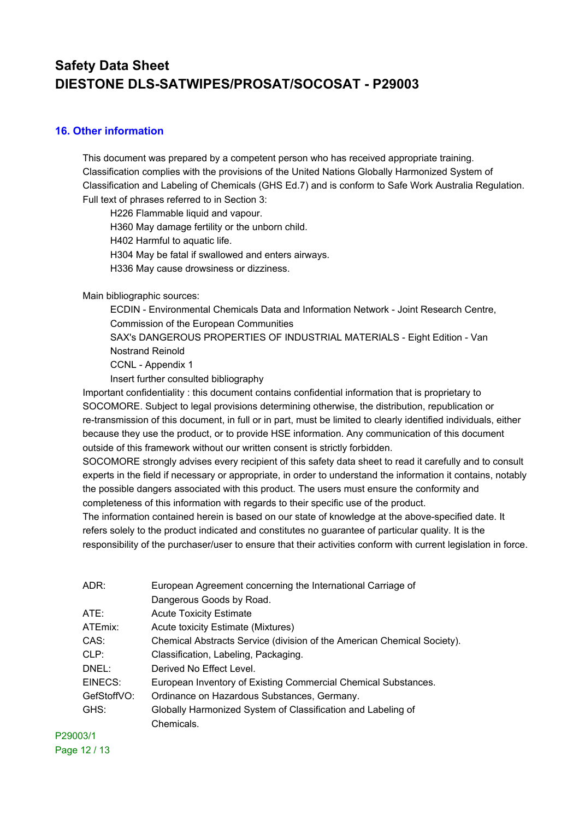### **16. Other information**

This document was prepared by a competent person who has received appropriate training. Classification complies with the provisions of the United Nations Globally Harmonized System of Classification and Labeling of Chemicals (GHS Ed.7) and is conform to Safe Work Australia Regulation. Full text of phrases referred to in Section 3:

H226 Flammable liquid and vapour.

H360 May damage fertility or the unborn child.

H402 Harmful to aquatic life.

H304 May be fatal if swallowed and enters airways.

H336 May cause drowsiness or dizziness.

Main bibliographic sources:

ECDIN - Environmental Chemicals Data and Information Network - Joint Research Centre, Commission of the European Communities

SAX's DANGEROUS PROPERTIES OF INDUSTRIAL MATERIALS - Eight Edition - Van Nostrand Reinold

CCNL - Appendix 1

Insert further consulted bibliography

Important confidentiality : this document contains confidential information that is proprietary to SOCOMORE. Subject to legal provisions determining otherwise, the distribution, republication or re-transmission of this document, in full or in part, must be limited to clearly identified individuals, either because they use the product, or to provide HSE information. Any communication of this document outside of this framework without our written consent is strictly forbidden.

SOCOMORE strongly advises every recipient of this safety data sheet to read it carefully and to consult experts in the field if necessary or appropriate, in order to understand the information it contains, notably the possible dangers associated with this product. The users must ensure the conformity and completeness of this information with regards to their specific use of the product.

The information contained herein is based on our state of knowledge at the above-specified date. It refers solely to the product indicated and constitutes no guarantee of particular quality. It is the responsibility of the purchaser/user to ensure that their activities conform with current legislation in force.

| ADR:        | European Agreement concerning the International Carriage of             |
|-------------|-------------------------------------------------------------------------|
|             | Dangerous Goods by Road.                                                |
| ATE:        | <b>Acute Toxicity Estimate</b>                                          |
| ATEmix:     | Acute toxicity Estimate (Mixtures)                                      |
| CAS:        | Chemical Abstracts Service (division of the American Chemical Society). |
| CLP:        | Classification, Labeling, Packaging.                                    |
| DNEL:       | Derived No Effect Level.                                                |
| EINECS:     | European Inventory of Existing Commercial Chemical Substances.          |
| GefStoffVO: | Ordinance on Hazardous Substances, Germany.                             |
| GHS:        | Globally Harmonized System of Classification and Labeling of            |
|             | Chemicals.                                                              |